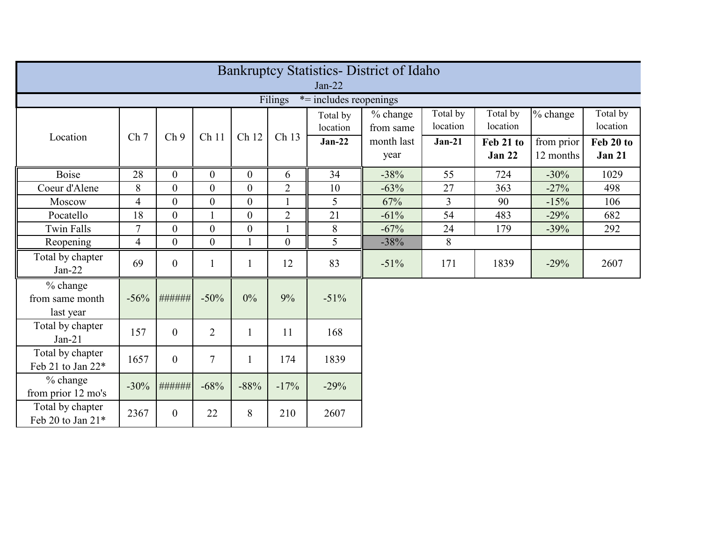| <b>Bankruptcy Statistics- District of Idaho</b> |                 |                  |                  |                |                  |                      |                       |                      |                            |                         |                            |
|-------------------------------------------------|-----------------|------------------|------------------|----------------|------------------|----------------------|-----------------------|----------------------|----------------------------|-------------------------|----------------------------|
| $Jan-22$                                        |                 |                  |                  |                |                  |                      |                       |                      |                            |                         |                            |
| Filings<br>$*$ = includes reopenings            |                 |                  |                  |                |                  |                      |                       |                      |                            |                         |                            |
|                                                 |                 |                  |                  |                |                  | Total by<br>location | % change<br>from same | Total by<br>location | Total by<br>location       | % change                | Total by<br>location       |
| Location                                        | Ch <sub>7</sub> | Ch <sub>9</sub>  | Ch <sub>11</sub> | Ch 12          | Ch 13            | $Jan-22$             | month last<br>year    | $Jan-21$             | Feb 21 to<br><b>Jan 22</b> | from prior<br>12 months | Feb 20 to<br><b>Jan 21</b> |
| <b>Boise</b>                                    | 28              | $\overline{0}$   | $\boldsymbol{0}$ | $\overline{0}$ | 6                | 34                   | $-38%$                | 55                   | 724                        | $-30%$                  | 1029                       |
| Coeur d'Alene                                   | 8               | $\overline{0}$   | $\overline{0}$   | $\overline{0}$ | $\overline{2}$   | 10                   | $-63%$                | 27                   | 363                        | $-27%$                  | 498                        |
| Moscow                                          | $\overline{4}$  | $\overline{0}$   | $\theta$         | $\overline{0}$ | $\mathbf{1}$     | 5                    | 67%                   | $\overline{3}$       | 90                         | $-15%$                  | 106                        |
| Pocatello                                       | 18              | $\overline{0}$   | $\mathbf{1}$     | $\overline{0}$ | $\overline{2}$   | 21                   | $-61%$                | 54                   | 483                        | $-29%$                  | 682                        |
| <b>Twin Falls</b>                               | $\overline{7}$  | $\mathbf{0}$     | $\boldsymbol{0}$ | $\overline{0}$ |                  | 8                    | $-67%$                | 24                   | 179                        | $-39%$                  | 292                        |
| Reopening                                       | $\overline{4}$  | $\overline{0}$   | $\overline{0}$   |                | $\boldsymbol{0}$ | 5                    | $-38%$                | 8                    |                            |                         |                            |
| Total by chapter<br>$Jan-22$                    | 69              | $\boldsymbol{0}$ |                  |                | 12               | 83                   | $-51%$                | 171                  | 1839                       | $-29%$                  | 2607                       |
| % change<br>from same month<br>last year        | $-56%$          | ######           | $-50%$           | 0%             | 9%               | $-51%$               |                       |                      |                            |                         |                            |
| Total by chapter<br>$Jan-21$                    | 157             | $\overline{0}$   | $\overline{2}$   | $\mathbf{1}$   | 11               | 168                  |                       |                      |                            |                         |                            |
| Total by chapter<br>Feb 21 to Jan 22*           | 1657            | $\boldsymbol{0}$ | $\overline{7}$   | $\mathbf{1}$   | 174              | 1839                 |                       |                      |                            |                         |                            |
| % change<br>from prior 12 mo's                  | $-30%$          | ######           | $-68%$           | $-88%$         | $-17%$           | $-29%$               |                       |                      |                            |                         |                            |
| Total by chapter<br>Feb 20 to Jan 21*           | 2367            | $\overline{0}$   | 22               | 8              | 210              | 2607                 |                       |                      |                            |                         |                            |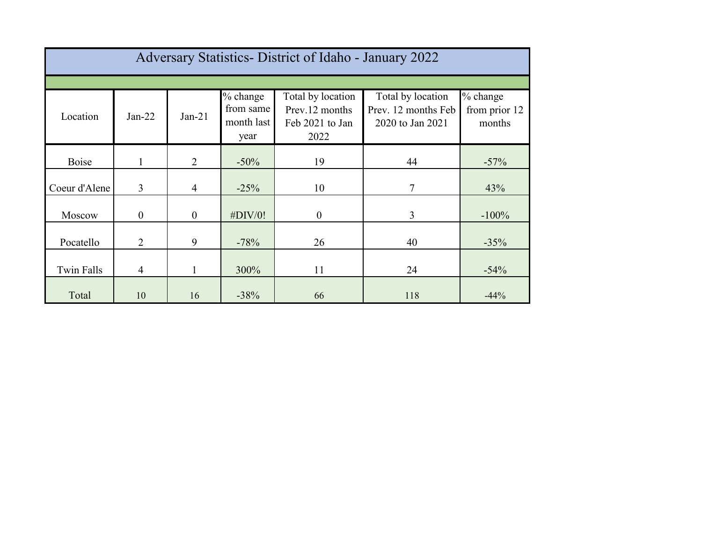| Adversary Statistics - District of Idaho - January 2022 |                |                |                                               |                                                                |                                                              |                                     |  |  |  |
|---------------------------------------------------------|----------------|----------------|-----------------------------------------------|----------------------------------------------------------------|--------------------------------------------------------------|-------------------------------------|--|--|--|
|                                                         |                |                |                                               |                                                                |                                                              |                                     |  |  |  |
| Location                                                | $Jan-22$       | $Jan-21$       | $%$ change<br>from same<br>month last<br>year | Total by location<br>Prev.12 months<br>Feb 2021 to Jan<br>2022 | Total by location<br>Prev. 12 months Feb<br>2020 to Jan 2021 | % change<br>from prior 12<br>months |  |  |  |
| Boise                                                   | 1              | 2              | $-50\%$                                       | 19                                                             | 44                                                           | $-57%$                              |  |  |  |
| Coeur d'Alene                                           | $\overline{3}$ | $\overline{4}$ | $-25%$                                        | 10                                                             | $\overline{7}$                                               | 43%                                 |  |  |  |
| Moscow                                                  | $\overline{0}$ | $\overline{0}$ | $\#$ DIV/0!                                   | $\boldsymbol{0}$                                               | $\overline{3}$                                               | $-100%$                             |  |  |  |
| Pocatello                                               | 2              | 9              | $-78%$                                        | 26                                                             | 40                                                           | $-35%$                              |  |  |  |
| <b>Twin Falls</b>                                       | $\overline{4}$ | 1              | 300%                                          | 11                                                             | 24                                                           | $-54%$                              |  |  |  |
| Total                                                   | 10             | 16             | $-38%$                                        | 66                                                             | 118                                                          | $-44%$                              |  |  |  |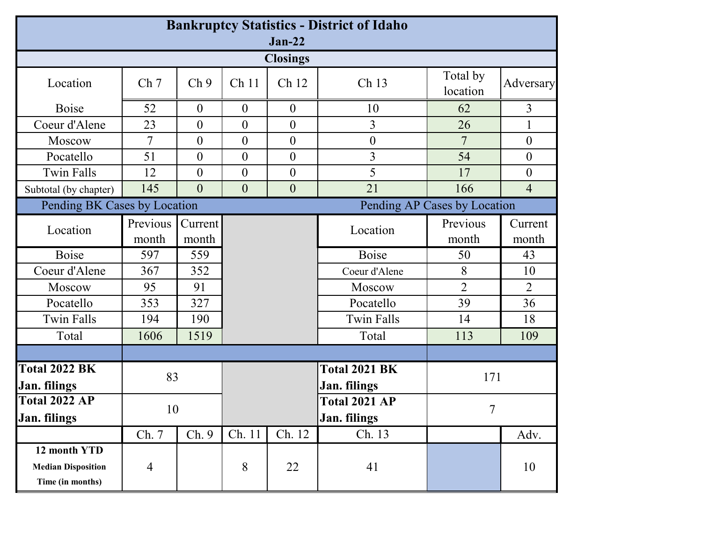| <b>Bankruptcy Statistics - District of Idaho</b><br>$Jan-22$  |                   |                  |                           |                  |                                      |                      |                  |    |
|---------------------------------------------------------------|-------------------|------------------|---------------------------|------------------|--------------------------------------|----------------------|------------------|----|
| <b>Closings</b>                                               |                   |                  |                           |                  |                                      |                      |                  |    |
| Location                                                      | Ch <sub>7</sub>   | Ch <sub>9</sub>  | Ch <sub>11</sub><br>Ch 12 |                  | Ch 13                                | Total by<br>location | Adversary        |    |
| Boise                                                         | 52                | $\overline{0}$   | $\overline{0}$            | $\theta$         | 10                                   | 62                   | 3                |    |
| Coeur d'Alene                                                 | 23                | $\overline{0}$   | $\overline{0}$            | $\boldsymbol{0}$ | 3                                    | 26                   |                  |    |
| Moscow                                                        | 7                 | $\overline{0}$   | $\overline{0}$            | $\boldsymbol{0}$ | $\boldsymbol{0}$                     | 7                    | $\overline{0}$   |    |
| Pocatello                                                     | 51                | $\theta$         | $\overline{0}$            | $\boldsymbol{0}$ | 3                                    | 54                   | $\overline{0}$   |    |
| <b>Twin Falls</b>                                             | 12                | $\theta$         | $\overline{0}$            | $\boldsymbol{0}$ | 5                                    | 17                   | $\theta$         |    |
| Subtotal (by chapter)                                         | 145               | $\overline{0}$   | $\overline{0}$            | $\boldsymbol{0}$ | 21                                   | 166                  | $\overline{4}$   |    |
| Pending BK Cases by Location<br>Pending AP Cases by Location  |                   |                  |                           |                  |                                      |                      |                  |    |
| Location                                                      | Previous<br>month | Current<br>month |                           |                  | Location                             | Previous<br>month    | Current<br>month |    |
| <b>Boise</b>                                                  | 597               | 559              |                           |                  | Boise                                | 50                   | 43               |    |
| Coeur d'Alene                                                 | 367               | 352              |                           |                  | Coeur d'Alene                        |                      | 8                | 10 |
| Moscow                                                        | 95                | 91               |                           |                  | Moscow                               | $\overline{2}$       | $\overline{2}$   |    |
| Pocatello                                                     | 353               | 327              |                           |                  | Pocatello                            | 39                   | 36               |    |
| <b>Twin Falls</b>                                             | 194               | 190              |                           |                  | <b>Twin Falls</b>                    | 14                   | 18               |    |
| Total                                                         | 1606              | 1519             |                           |                  | Total                                | 113                  | 109              |    |
|                                                               |                   |                  |                           |                  |                                      |                      |                  |    |
| <b>Total 2022 BK</b><br>83<br><b>Jan.</b> filings             |                   |                  |                           |                  | <b>Total 2021 BK</b><br>Jan. filings | 171                  |                  |    |
| <b>Total 2022 AP</b>                                          | 10                |                  |                           |                  | Total 2021 AP                        | $\overline{7}$       |                  |    |
| Jan. filings                                                  |                   |                  |                           |                  | Jan. filings                         |                      |                  |    |
|                                                               | Ch. 7             | Ch. 9            | Ch. 11                    | Ch. 12           | Ch. 13                               |                      | Adv.             |    |
| 12 month YTD<br><b>Median Disposition</b><br>Time (in months) | $\overline{4}$    |                  | 8                         | 22               | 41                                   |                      | 10               |    |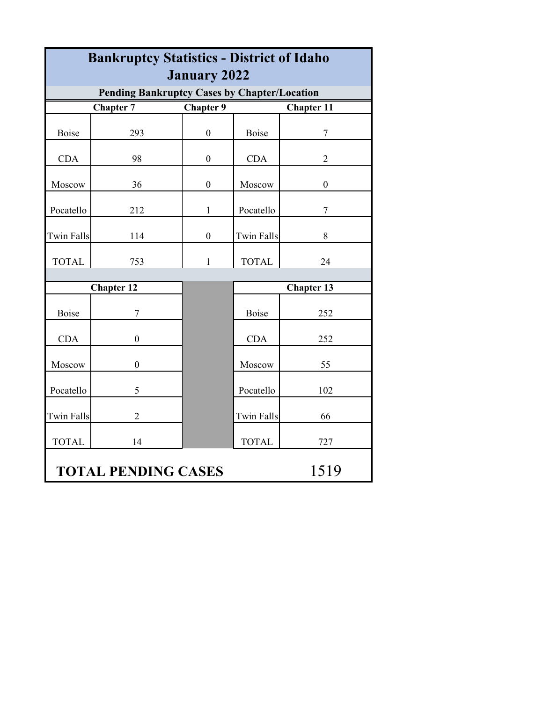| <b>Bankruptcy Statistics - District of Idaho</b>                           |                   |                  |                   |                  |  |  |  |  |
|----------------------------------------------------------------------------|-------------------|------------------|-------------------|------------------|--|--|--|--|
| <b>January 2022</b><br><b>Pending Bankruptcy Cases by Chapter/Location</b> |                   |                  |                   |                  |  |  |  |  |
| <b>Chapter 7</b><br><b>Chapter 9</b><br><b>Chapter 11</b>                  |                   |                  |                   |                  |  |  |  |  |
| <b>Boise</b>                                                               | 293               | $\mathbf{0}$     | <b>Boise</b>      | $\overline{7}$   |  |  |  |  |
| <b>CDA</b>                                                                 | 98                | $\boldsymbol{0}$ | <b>CDA</b>        | $\overline{2}$   |  |  |  |  |
| Moscow                                                                     | 36                | $\boldsymbol{0}$ | Moscow            | $\boldsymbol{0}$ |  |  |  |  |
| Pocatello                                                                  | 212               | $\mathbf{1}$     | Pocatello         | $\overline{7}$   |  |  |  |  |
| <b>Twin Falls</b>                                                          | 114               | $\boldsymbol{0}$ | <b>Twin Falls</b> | 8                |  |  |  |  |
| <b>TOTAL</b>                                                               | 753               | $\mathbf{1}$     | <b>TOTAL</b>      | 24               |  |  |  |  |
|                                                                            | <b>Chapter 12</b> |                  | <b>Chapter 13</b> |                  |  |  |  |  |
| <b>Boise</b>                                                               | 7                 |                  | Boise             | 252              |  |  |  |  |
| <b>CDA</b>                                                                 | $\boldsymbol{0}$  |                  | <b>CDA</b>        | 252              |  |  |  |  |
| Moscow                                                                     | $\boldsymbol{0}$  |                  | Moscow            | 55               |  |  |  |  |
| Pocatello                                                                  | 5                 |                  | Pocatello         | 102              |  |  |  |  |
| <b>Twin Falls</b>                                                          | $\overline{2}$    |                  | <b>Twin Falls</b> | 66               |  |  |  |  |
| <b>TOTAL</b>                                                               | 14                |                  | <b>TOTAL</b>      | 727              |  |  |  |  |
| 1519<br><b>TOTAL PENDING CASES</b>                                         |                   |                  |                   |                  |  |  |  |  |